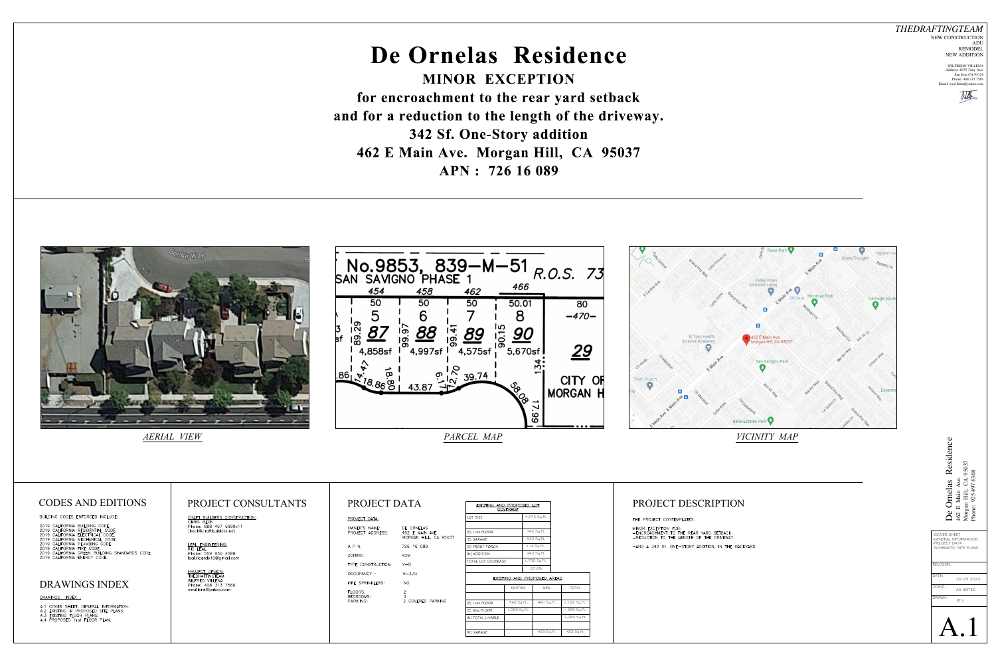# **De Ornelas Residence MINOR EXCEPTION**

**for encroachment to the rear yard setback and for a reduction to the length of the driveway. 342 Sf. One-Story addition**

**462 E Main Ave. Morgan Hill, CA 95037 APN : 726 16 089**





| PROJECT DATA:                     |                                                       |
|-----------------------------------|-------------------------------------------------------|
| OWNER'S NAME:<br>PROJECT ADDRESS: | DE ORNELAS<br>462 E MAIN AVE<br>MORGAN HILL, CA 95037 |
| APN:                              | 726 16 089                                            |
| 70NING:                           | <b>RDM</b>                                            |
| TYPE CONSTRUCTION:                | $V - B$                                               |
| OCCUPANCY:                        | $R - 3/U$                                             |
| FIRE SPRINKLERS:                  | NO.                                                   |
| FLOORS:<br>BEDROOMS:<br>PARKING:  | $\frac{2}{3}$<br>2<br>COVERED PARKING                 |



*AERIAL VIEW*

BUILDING CODES ENFORCED INCLUDE:

|                            | 2019 CALIFORNIA BUILDING CODE.      |
|----------------------------|-------------------------------------|
|                            | 2019 CALIFORNIA RESIDENTIAL CODE.   |
|                            | 2019 CALIFORNIA ELECTRICAL CODE.    |
|                            | 2019 CALIFORNIA MECHANICAL CODE.    |
|                            | 2019 CALIFORNIA PLUMBING CODE.      |
| 2019 CALIFORNIA FIRE CODE. |                                     |
|                            | 2019 CALIFORNIA GREEN BUILDING STAN |

#### VDARDS CODE. 2019 CALIFORNIA ENERGY CODE.

#### *THEDRAFTINGTEAM* NEW CONSTRUCTION ADU REMODEL

NEW ADDITION WILFREDO VILLENA Address: 4875 Tony Ave.

San Jose CA 95124 Phone: 408 313 7569 Email: wevillena@yahoo.com





# DRAWINGS INDEX

DRAWINGS INDEX :

A.1 COVER SHEET, GENERAL INFORMATION.<br>A.2 EXISTING & PROPOSED SITE PLANS.<br>A.3 EXISTING FLOOR PLANS.<br>A.4 PROPOSED 1rst FLOOR PLAN.

## CODES AND EDITIONS PROJECT CONSULTANTS PROJECT DATA FEXISTING AND PROPOSED LOT PROJECT DESCRIPTION

<u>CRAFT BUILDERS CONSTRUCTION:</u><br>CHRIS BECK Phone: 888 497 6999x11 jbeck@craftbuilders.net

LEAL ENGINEERING: RIC LEAL. Phone: 559 930 4588 leal.ricardo10@gmail.com

PROJECT DESIGN:<br>THEDRAFTINGTEAM WILFRED VILLENA Phone: 408 313 7569 wevillena@yahoo.com

*VICINITY MAP*

| EXISTING AND PROPOSED LOT<br><b>COVERAGE</b> |              |  |
|----------------------------------------------|--------------|--|
| LOT SIZE                                     | 4,575 Sq.Ft. |  |
|                                              |              |  |
| (E) I rst FLOOR                              | 742 Sq.Ft.   |  |
| (E) GARAGE                                   | 532 Sq.Ft.   |  |
| (E) FRONT PORCH                              | 114 Sq.Ft.   |  |
| (N) ADDITION                                 | 342 Sq.Ft.   |  |
| TOTAL LOT COVERAGE                           | 1,730 Sq.Ft. |  |
|                                              | 37.8%        |  |

### EXISTING AND PROPOSED AREAS

|                   | <b>EXISTING</b> | <b>NEW</b> | <b>TOTAL</b>  |
|-------------------|-----------------|------------|---------------|
|                   |                 |            |               |
| (E) I rst FLOOR   | 742 Sq.Ft.      | 441 Sq.Ft. | 1,183 Sq. Ft. |
| (E) 2nd FLOOR     | 1,099 Sq.Ft.    |            | 1,099 Sq.Ft.  |
| (N) TOTAL LIVABLE |                 |            | 2,282 Sq.Ft.  |
|                   |                 |            |               |
| (N) GARAGE        |                 | 433 Sq.Ft. | 433 Sq.Ft.    |
|                   |                 |            |               |

MINOR EXCEPTION FOR: -ENCROACHMENT TO THE REAR YARD SETBACK. -REDUCTION TO THE LENGTH OF THE DRIVEWAY. -AND A 342 Sf. ONE-STORY ADDITION, IN THE BACKYARD.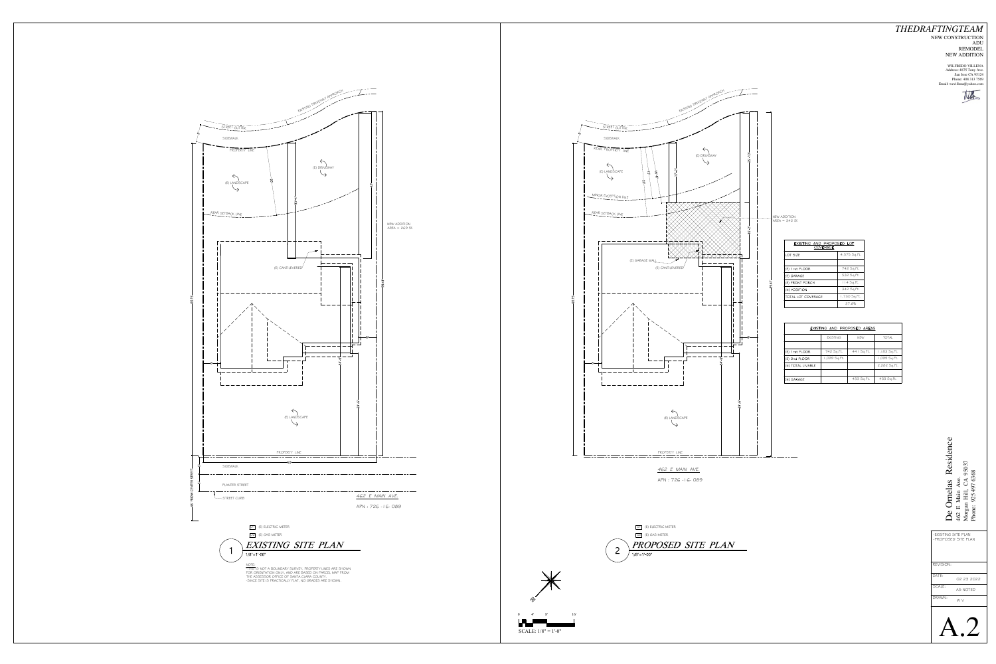SCALE: 1/8" = 1'-0"





|           | -EXISTING SITE PLAN<br>-PROPOSED SITE PLAN |  |
|-----------|--------------------------------------------|--|
| REVISION: |                                            |  |
| DATE:     | 02 23 2022                                 |  |
| SCALE:    | AS NOTED                                   |  |
| DRAWN:    | W V                                        |  |
|           |                                            |  |

## *THEDRAFTINGTEAM* NEW CONSTRUCTION ADU

REMODEL NEW ADDITION

WILFREDO VILLENA Address: 4875 Tony Ave. San Jose CA 95124 Phone: 408 313 7569 Email: wevillena@yahoo.com

title

**Ornelas Residenc**<br>E Main Ave.<br>gan Hill, CA 95037<br>ne: 925 497 6368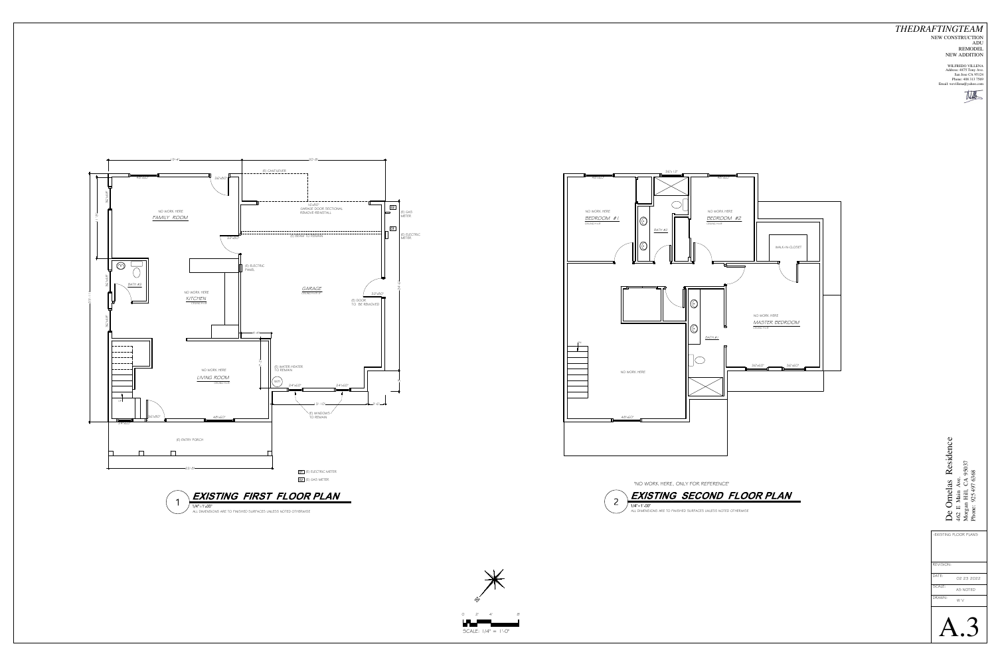ALL DIMENSIONS ARE TO FINISHED SURFACES UNLESS NOTED OTHERWISE



**EXISTING SECOND FLOOR PLAN**







#### *THEDRAFTINGTEAM* NEW CONSTRUCTION ADU REMODEL NEW ADDITION

| REVISION: |            |
|-----------|------------|
| DATE:     | 02 23 2022 |
| SCALE:    | AS NOTED   |
| DRAWN:    | W V        |
|           |            |

WILFREDO VILLENA Address: 4875 Tony Ave. San Jose CA 95124 Phone: 408 313 7569